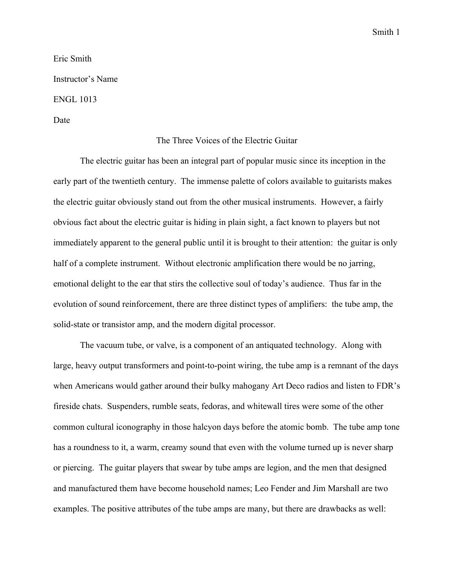Smith 1

Eric Smith Instructor's Name ENGL 1013 Date

## The Three Voices of the Electric Guitar

The electric guitar has been an integral part of popular music since its inception in the early part of the twentieth century. The immense palette of colors available to guitarists makes the electric guitar obviously stand out from the other musical instruments. However, a fairly obvious fact about the electric guitar is hiding in plain sight, a fact known to players but not immediately apparent to the general public until it is brought to their attention: the guitar is only half of a complete instrument. Without electronic amplification there would be no jarring, emotional delight to the ear that stirs the collective soul of today's audience. Thus far in the evolution of sound reinforcement, there are three distinct types of amplifiers: the tube amp, the solid-state or transistor amp, and the modern digital processor.

The vacuum tube, or valve, is a component of an antiquated technology. Along with large, heavy output transformers and point-to-point wiring, the tube amp is a remnant of the days when Americans would gather around their bulky mahogany Art Deco radios and listen to FDR's fireside chats. Suspenders, rumble seats, fedoras, and whitewall tires were some of the other common cultural iconography in those halcyon days before the atomic bomb. The tube amp tone has a roundness to it, a warm, creamy sound that even with the volume turned up is never sharp or piercing. The guitar players that swear by tube amps are legion, and the men that designed and manufactured them have become household names; Leo Fender and Jim Marshall are two examples. The positive attributes of the tube amps are many, but there are drawbacks as well: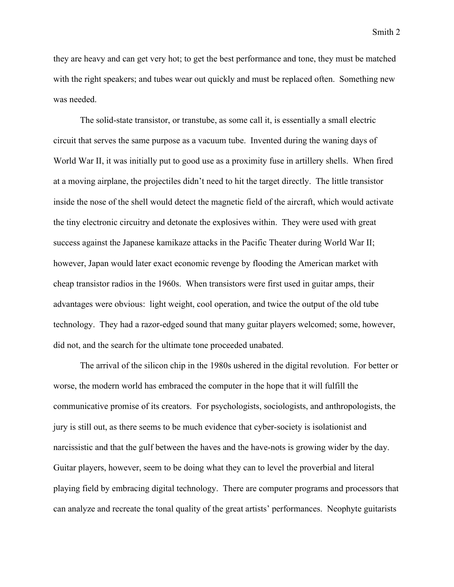they are heavy and can get very hot; to get the best performance and tone, they must be matched with the right speakers; and tubes wear out quickly and must be replaced often. Something new was needed.

The solid-state transistor, or transtube, as some call it, is essentially a small electric circuit that serves the same purpose as a vacuum tube. Invented during the waning days of World War II, it was initially put to good use as a proximity fuse in artillery shells. When fired at a moving airplane, the projectiles didn't need to hit the target directly. The little transistor inside the nose of the shell would detect the magnetic field of the aircraft, which would activate the tiny electronic circuitry and detonate the explosives within. They were used with great success against the Japanese kamikaze attacks in the Pacific Theater during World War II; however, Japan would later exact economic revenge by flooding the American market with cheap transistor radios in the 1960s. When transistors were first used in guitar amps, their advantages were obvious: light weight, cool operation, and twice the output of the old tube technology. They had a razor-edged sound that many guitar players welcomed; some, however, did not, and the search for the ultimate tone proceeded unabated.

The arrival of the silicon chip in the 1980s ushered in the digital revolution. For better or worse, the modern world has embraced the computer in the hope that it will fulfill the communicative promise of its creators. For psychologists, sociologists, and anthropologists, the jury is still out, as there seems to be much evidence that cyber-society is isolationist and narcissistic and that the gulf between the haves and the have-nots is growing wider by the day. Guitar players, however, seem to be doing what they can to level the proverbial and literal playing field by embracing digital technology. There are computer programs and processors that can analyze and recreate the tonal quality of the great artists' performances. Neophyte guitarists